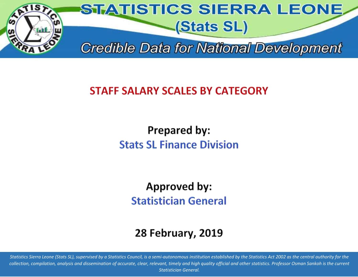

# **STAFF SALARY SCALES BY CATEGORY**

**Prepared by: Stats SL Finance Division** 

**Approved by: Statistician General** 

# **28 February, 2019**

*Statistics Sierra Leone (Stats SL), supervised by a Statistics Council, is a semi-autonomous institution established by the Statistics Act 2002 as the central authority for the collection, compilation, analysis and dissemination of accurate, clear, relevant, timely and high quality official and other statistics. Professor Osman Sankoh is the current Statistician General.*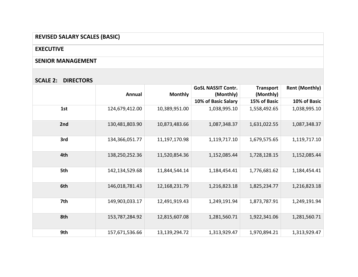## **REVISED SALARY SCALES (BASIC)**

#### **EXECUTIVE**

#### **SENIOR MANAGEMENT**

#### **SCALE 2: DIRECTORS**

|     | Annual         | <b>Monthly</b> | <b>GoSL NASSIT Contr.</b><br>(Monthly) | <b>Transport</b><br>(Monthly) | <b>Rent (Monthly)</b> |
|-----|----------------|----------------|----------------------------------------|-------------------------------|-----------------------|
|     |                |                | 10% of Basic Salary                    | 15% of Basic                  | 10% of Basic          |
| 1st | 124,679,412.00 | 10,389,951.00  | 1,038,995.10                           | 1,558,492.65                  | 1,038,995.10          |
| 2nd | 130,481,803.90 | 10,873,483.66  | 1,087,348.37                           | 1,631,022.55                  | 1,087,348.37          |
| 3rd | 134,366,051.77 | 11,197,170.98  | 1,119,717.10                           | 1,679,575.65                  | 1,119,717.10          |
| 4th | 138,250,252.36 | 11,520,854.36  | 1,152,085.44                           | 1,728,128.15                  | 1,152,085.44          |
| 5th | 142,134,529.68 | 11,844,544.14  | 1,184,454.41                           | 1,776,681.62                  | 1,184,454.41          |
| 6th | 146,018,781.43 | 12,168,231.79  | 1,216,823.18                           | 1,825,234.77                  | 1,216,823.18          |
| 7th | 149,903,033.17 | 12,491,919.43  | 1,249,191.94                           | 1,873,787.91                  | 1,249,191.94          |
| 8th | 153,787,284.92 | 12,815,607.08  | 1,281,560.71                           | 1,922,341.06                  | 1,281,560.71          |
| 9th | 157,671,536.66 | 13,139,294.72  | 1,313,929.47                           | 1,970,894.21                  | 1,313,929.47          |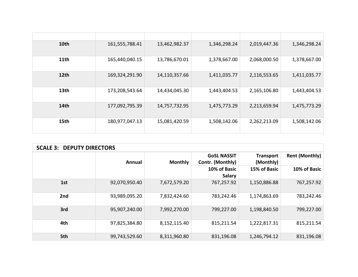| 10th | 161,555,788.41 | 13,462,982.37 | 1,346,298.24 | 2,019,447.36 | 1,346,298.24 |
|------|----------------|---------------|--------------|--------------|--------------|
| 11th | 165,440,040.15 | 13,786,670.01 | 1,378,667.00 | 2,068,000.50 | 1,378,667.00 |
| 12th | 169,324,291.90 | 14,110,357.66 | 1,411,035.77 | 2,116,553.65 | 1,411,035.77 |
| 13th | 173,208,543.64 | 14,434,045.30 | 1,443,404.53 | 2,165,106.80 | 1,443,404.53 |
| 14th | 177,092,795.39 | 14,757,732.95 | 1,475,773.29 | 2,213,659.94 | 1,475,773.29 |
| 15th | 180,977,047.13 | 15,081,420.59 | 1,508,142.06 | 2,262,213.09 | 1,508,142.06 |

| <b>SCALE 3: DEPUTY DIRECTORS</b> |               |                |                                        |                               |                       |  |
|----------------------------------|---------------|----------------|----------------------------------------|-------------------------------|-----------------------|--|
|                                  | <b>Annual</b> | <b>Monthly</b> | <b>GoSL NASSIT</b><br>Contr. (Monthly) | <b>Transport</b><br>(Monthly) | <b>Rent (Monthly)</b> |  |
|                                  |               |                | 10% of Basic<br><b>Salary</b>          | 15% of Basic                  | 10% of Basic          |  |
| 1st                              | 92,070,950.40 | 7,672,579.20   | 767,257.92                             | 1,150,886.88                  | 767,257.92            |  |
| 2nd                              | 93,989,095.20 | 7,832,424.60   | 783,242.46                             | 1,174,863.69                  | 783,242.46            |  |
| 3rd                              | 95,907,240.00 | 7,992,270.00   | 799,227.00                             | 1,198,840.50                  | 799,227.00            |  |
| 4th                              | 97,825,384.80 | 8,152,115.40   | 815,211.54                             | 1,222,817.31                  | 815,211.54            |  |
| 5th                              | 99,743,529.60 | 8,311,960.80   | 831,196.08                             | 1,246,794.12                  | 831,196.08            |  |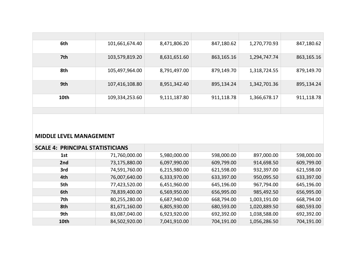| 6th  | 101,661,674.40 | 8,471,806.20 | 847,180.62 | 1,270,770.93 | 847,180.62 |
|------|----------------|--------------|------------|--------------|------------|
| 7th  | 103,579,819.20 | 8,631,651.60 | 863,165.16 | 1,294,747.74 | 863,165.16 |
| 8th  | 105,497,964.00 | 8,791,497.00 | 879,149.70 | 1,318,724.55 | 879,149.70 |
| 9th  | 107,416,108.80 | 8,951,342.40 | 895,134.24 | 1,342,701.36 | 895,134.24 |
| 10th | 109,334,253.60 | 9,111,187.80 | 911,118.78 | 1,366,678.17 | 911,118.78 |
|      |                |              |            |              |            |

#### **MIDDLE LEVEL MANAGEMENT**

| <b>SCALE 4: PRINCIPAL STATISTICIANS</b> |               |              |            |              |            |
|-----------------------------------------|---------------|--------------|------------|--------------|------------|
| 1st                                     | 71,760,000.00 | 5,980,000.00 | 598,000.00 | 897,000.00   | 598,000.00 |
| 2nd                                     | 73,175,880.00 | 6,097,990.00 | 609,799.00 | 914,698.50   | 609,799.00 |
| 3rd                                     | 74,591,760.00 | 6,215,980.00 | 621,598.00 | 932,397.00   | 621,598.00 |
| 4th                                     | 76,007,640.00 | 6,333,970.00 | 633,397.00 | 950,095.50   | 633,397.00 |
| 5th                                     | 77,423,520.00 | 6,451,960.00 | 645,196.00 | 967,794.00   | 645,196.00 |
| 6th                                     | 78,839,400.00 | 6,569,950.00 | 656,995.00 | 985,492.50   | 656,995.00 |
| 7th                                     | 80,255,280.00 | 6,687,940.00 | 668,794.00 | 1,003,191.00 | 668,794.00 |
| 8th                                     | 81,671,160.00 | 6,805,930.00 | 680,593.00 | 1,020,889.50 | 680,593.00 |
| 9th                                     | 83,087,040.00 | 6,923,920.00 | 692,392.00 | 1,038,588.00 | 692,392.00 |
| 10th                                    | 84,502,920.00 | 7,041,910.00 | 704,191.00 | 1,056,286.50 | 704,191.00 |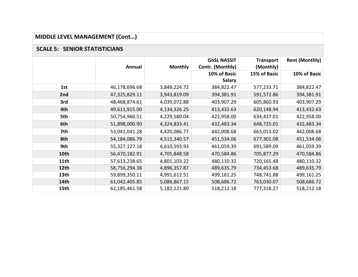# **MIDDLE LEVEL MANAGEMENT (Cont…)**

#### **SCALE 5: SENIOR STATISTICIANS**

|      |               |                | <b>GoSL NASSIT</b> | <b>Transport</b> | <b>Rent (Monthly)</b> |
|------|---------------|----------------|--------------------|------------------|-----------------------|
|      | Annual        | <b>Monthly</b> | Contr. (Monthly)   | (Monthly)        |                       |
|      |               |                | 10% of Basic       | 15% of Basic     | 10% of Basic          |
|      |               |                | <b>Salary</b>      |                  |                       |
| 1st  | 46,178,696.68 | 3,848,224.72   | 384,822.47         | 577,233.71       | 384,822.47            |
| 2nd  | 47,325,829.11 | 3,943,819.09   | 394,381.91         | 591,572.86       | 394,381.91            |
| 3rd  | 48,468,874.61 | 4,039,072.88   | 403,907.29         | 605,860.93       | 403,907.29            |
| 4th  | 49,611,915.00 | 4,134,326.25   | 413,432.63         | 620,148.94       | 413,432.63            |
| 5th  | 50,754,960.51 | 4,229,580.04   | 422,958.00         | 634,437.01       | 422,958.00            |
| 6th  | 51,898,000.90 | 4,324,833.41   | 432,483.34         | 648,725.01       | 432,483.34            |
| 7th  | 53,041,041.28 | 4,420,086.77   | 442,008.68         | 663,013.02       | 442,008.68            |
| 8th  | 54,184,086.79 | 4,515,340.57   | 451,534.06         | 677,301.08       | 451,534.06            |
| 9th  | 55,327,127.18 | 4,610,593.93   | 461,059.39         | 691,589.09       | 461,059.39            |
| 10th | 56,470,182.91 | 4,705,848.58   | 470,584.86         | 705,877.29       | 470,584.86            |
| 11th | 57,613,238.65 | 4,801,103.22   | 480,110.32         | 720,165.48       | 480,110.32            |
| 12th | 58,756,294.38 | 4,896,357.87   | 489,635.79         | 734,453.68       | 489,635.79            |
| 13th | 59,899,350.11 | 4,991,612.51   | 499,161.25         | 748,741.88       | 499,161.25            |
| 14th | 61,042,405.85 | 5,086,867.15   | 508,686.72         | 763,030.07       | 508,686.72            |
| 15th | 62,185,461.58 | 5,182,121.80   | 518,212.18         | 777,318.27       | 518,212.18            |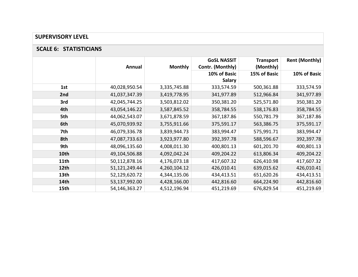#### **SUPERVISORY LEVEL**

#### **SCALE 6: STATISTICIANS**

|      | Annual        | <b>Monthly</b> | <b>GoSL NASSIT</b><br>Contr. (Monthly) | <b>Transport</b><br>(Monthly) | <b>Rent (Monthly)</b> |
|------|---------------|----------------|----------------------------------------|-------------------------------|-----------------------|
|      |               |                | 10% of Basic                           | 15% of Basic                  | 10% of Basic          |
|      |               |                | <b>Salary</b>                          |                               |                       |
| 1st  | 40,028,950.54 | 3,335,745.88   | 333,574.59                             | 500,361.88                    | 333,574.59            |
| 2nd  | 41,037,347.39 | 3,419,778.95   | 341,977.89                             | 512,966.84                    | 341,977.89            |
| 3rd  | 42,045,744.25 | 3,503,812.02   | 350,381.20                             | 525,571.80                    | 350,381.20            |
| 4th  | 43,054,146.22 | 3,587,845.52   | 358,784.55                             | 538,176.83                    | 358,784.55            |
| 5th  | 44,062,543.07 | 3,671,878.59   | 367,187.86                             | 550,781.79                    | 367,187.86            |
| 6th  | 45,070,939.92 | 3,755,911.66   | 375,591.17                             | 563,386.75                    | 375,591.17            |
| 7th  | 46,079,336.78 | 3,839,944.73   | 383,994.47                             | 575,991.71                    | 383,994.47            |
| 8th  | 47,087,733.63 | 3,923,977.80   | 392,397.78                             | 588,596.67                    | 392,397.78            |
| 9th  | 48,096,135.60 | 4,008,011.30   | 400,801.13                             | 601,201.70                    | 400,801.13            |
| 10th | 49,104,506.88 | 4,092,042.24   | 409,204.22                             | 613,806.34                    | 409,204.22            |
| 11th | 50,112,878.16 | 4,176,073.18   | 417,607.32                             | 626,410.98                    | 417,607.32            |
| 12th | 51,121,249.44 | 4,260,104.12   | 426,010.41                             | 639,015.62                    | 426,010.41            |
| 13th | 52,129,620.72 | 4,344,135.06   | 434,413.51                             | 651,620.26                    | 434,413.51            |
| 14th | 53,137,992.00 | 4,428,166.00   | 442,816.60                             | 664,224.90                    | 442,816.60            |
| 15th | 54,146,363.27 | 4,512,196.94   | 451,219.69                             | 676,829.54                    | 451,219.69            |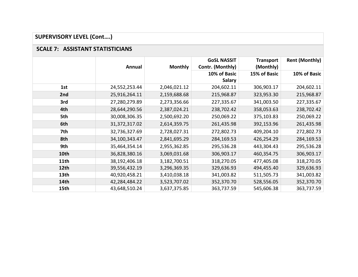# **SUPERVISORY LEVEL (Cont….)**

#### **SCALE 7: ASSISTANT STATISTICIANS**

|      | Annual          | <b>Monthly</b> | <b>GoSL NASSIT</b><br>Contr. (Monthly) | <b>Transport</b><br>(Monthly) | <b>Rent (Monthly)</b> |
|------|-----------------|----------------|----------------------------------------|-------------------------------|-----------------------|
|      |                 |                | 10% of Basic                           | 15% of Basic                  | 10% of Basic          |
|      |                 |                | <b>Salary</b>                          |                               |                       |
| 1st  | 24,552,253.44   | 2,046,021.12   | 204,602.11                             | 306,903.17                    | 204,602.11            |
| 2nd  | 25,916,264.11   | 2,159,688.68   | 215,968.87                             | 323,953.30                    | 215,968.87            |
| 3rd  | 27,280,279.89   | 2,273,356.66   | 227,335.67                             | 341,003.50                    | 227,335.67            |
| 4th  | 28,644,290.56   | 2,387,024.21   | 238,702.42                             | 358,053.63                    | 238,702.42            |
| 5th  | 30,008,306.35   | 2,500,692.20   | 250,069.22                             | 375,103.83                    | 250,069.22            |
| 6th  | 31, 372, 317.02 | 2,614,359.75   | 261,435.98                             | 392,153.96                    | 261,435.98            |
| 7th  | 32,736,327.69   | 2,728,027.31   | 272,802.73                             | 409,204.10                    | 272,802.73            |
| 8th  | 34,100,343.47   | 2,841,695.29   | 284,169.53                             | 426,254.29                    | 284,169.53            |
| 9th  | 35,464,354.14   | 2,955,362.85   | 295,536.28                             | 443,304.43                    | 295,536.28            |
| 10th | 36,828,380.16   | 3,069,031.68   | 306,903.17                             | 460,354.75                    | 306,903.17            |
| 11th | 38,192,406.18   | 3,182,700.51   | 318,270.05                             | 477,405.08                    | 318,270.05            |
| 12th | 39,556,432.19   | 3,296,369.35   | 329,636.93                             | 494,455.40                    | 329,636.93            |
| 13th | 40,920,458.21   | 3,410,038.18   | 341,003.82                             | 511,505.73                    | 341,003.82            |
| 14th | 42,284,484.22   | 3,523,707.02   | 352,370.70                             | 528,556.05                    | 352,370.70            |
| 15th | 43,648,510.24   | 3,637,375.85   | 363,737.59                             | 545,606.38                    | 363,737.59            |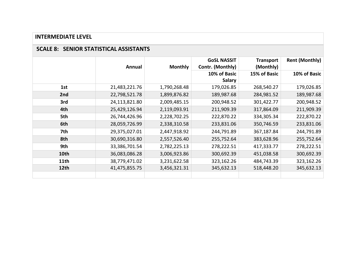#### **INTERMEDIATE LEVEL**

#### **SCALE 8: SENIOR STATISTICAL ASSISTANTS**

|                  | Annual        | <b>Monthly</b> | <b>GoSL NASSIT</b><br>Contr. (Monthly) | <b>Transport</b><br>(Monthly) | <b>Rent (Monthly)</b> |
|------------------|---------------|----------------|----------------------------------------|-------------------------------|-----------------------|
|                  |               |                | 10% of Basic<br><b>Salary</b>          | 15% of Basic                  | 10% of Basic          |
| 1st              | 21,483,221.76 | 1,790,268.48   | 179,026.85                             | 268,540.27                    | 179,026.85            |
| 2nd              | 22,798,521.78 | 1,899,876.82   | 189,987.68                             | 284,981.52                    | 189,987.68            |
| 3rd              | 24,113,821.80 | 2,009,485.15   | 200,948.52                             | 301,422.77                    | 200,948.52            |
| 4th              | 25,429,126.94 | 2,119,093.91   | 211,909.39                             | 317,864.09                    | 211,909.39            |
| 5th              | 26,744,426.96 | 2,228,702.25   | 222,870.22                             | 334,305.34                    | 222,870.22            |
| 6th              | 28,059,726.99 | 2,338,310.58   | 233,831.06                             | 350,746.59                    | 233,831.06            |
| 7th              | 29,375,027.01 | 2,447,918.92   | 244,791.89                             | 367,187.84                    | 244,791.89            |
| 8th              | 30,690,316.80 | 2,557,526.40   | 255,752.64                             | 383,628.96                    | 255,752.64            |
| 9th              | 33,386,701.54 | 2,782,225.13   | 278,222.51                             | 417,333.77                    | 278,222.51            |
| 10th             | 36,083,086.28 | 3,006,923.86   | 300,692.39                             | 451,038.58                    | 300,692.39            |
| 11 <sub>th</sub> | 38,779,471.02 | 3,231,622.58   | 323,162.26                             | 484,743.39                    | 323,162.26            |
| 12th             | 41,475,855.75 | 3,456,321.31   | 345,632.13                             | 518,448.20                    | 345,632.13            |
|                  |               |                |                                        |                               |                       |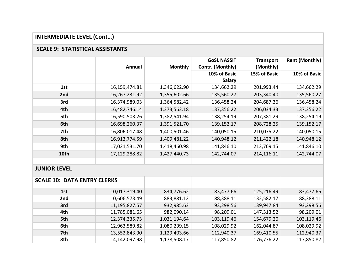## **INTERMEDIATE LEVEL (Cont…)**

### **SCALE 9: STATISTICAL ASSISTANTS**

|                                    |               |                | <b>GoSL NASSIT</b> | <b>Transport</b> | <b>Rent (Monthly)</b> |
|------------------------------------|---------------|----------------|--------------------|------------------|-----------------------|
|                                    | Annual        | <b>Monthly</b> | Contr. (Monthly)   | (Monthly)        |                       |
|                                    |               |                | 10% of Basic       | 15% of Basic     | 10% of Basic          |
|                                    |               |                | <b>Salary</b>      |                  |                       |
| 1st                                | 16,159,474.81 | 1,346,622.90   | 134,662.29         | 201,993.44       | 134,662.29            |
| 2nd                                | 16,267,231.92 | 1,355,602.66   | 135,560.27         | 203,340.40       | 135,560.27            |
| 3rd                                | 16,374,989.03 | 1,364,582.42   | 136,458.24         | 204,687.36       | 136,458.24            |
| 4th                                | 16,482,746.14 | 1,373,562.18   | 137,356.22         | 206,034.33       | 137,356.22            |
| 5th                                | 16,590,503.26 | 1,382,541.94   | 138,254.19         | 207,381.29       | 138,254.19            |
| 6th                                | 16,698,260.37 | 1,391,521.70   | 139,152.17         | 208,728.25       | 139,152.17            |
| 7th                                | 16,806,017.48 | 1,400,501.46   | 140,050.15         | 210,075.22       | 140,050.15            |
| 8th                                | 16,913,774.59 | 1,409,481.22   | 140,948.12         | 211,422.18       | 140,948.12            |
| 9th                                | 17,021,531.70 | 1,418,460.98   | 141,846.10         | 212,769.15       | 141,846.10            |
| 10th                               | 17,129,288.82 | 1,427,440.73   | 142,744.07         | 214,116.11       | 142,744.07            |
|                                    |               |                |                    |                  |                       |
| <b>JUNIOR LEVEL</b>                |               |                |                    |                  |                       |
| <b>SCALE 10: DATA ENTRY CLERKS</b> |               |                |                    |                  |                       |
| 1st                                | 10,017,319.40 | 834,776.62     | 83,477.66          | 125,216.49       | 83,477.66             |
| 2nd                                | 10,606,573.49 | 883,881.12     | 88,388.11          | 132,582.17       | 88,388.11             |
| 3rd                                | 11,195,827.57 | 932,985.63     | 93,298.56          | 139,947.84       | 93,298.56             |
| 4th                                | 11,785,081.65 | 982,090.14     | 98,209.01          | 147,313.52       | 98,209.01             |
| 5th                                | 12,374,335.73 | 1,031,194.64   | 103,119.46         | 154,679.20       | 103,119.46            |
| 6th                                | 12,963,589.82 | 1,080,299.15   | 108,029.92         | 162,044.87       | 108,029.92            |
| 7th                                | 13,552,843.90 | 1,129,403.66   | 112,940.37         | 169,410.55       | 112,940.37            |
| 8th                                | 14,142,097.98 | 1,178,508.17   | 117,850.82         | 176,776.22       | 117,850.82            |